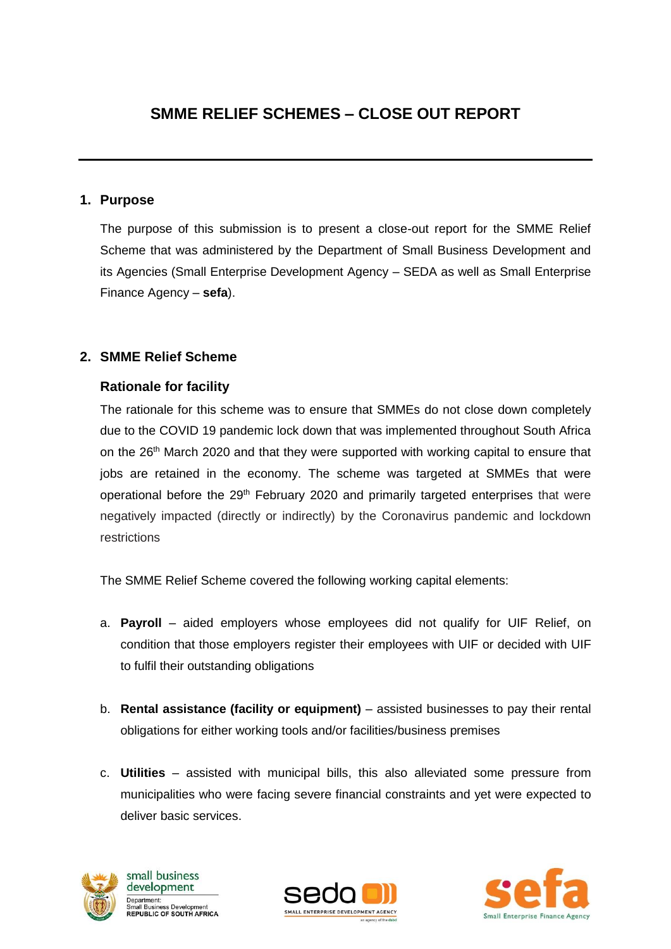# **SMME RELIEF SCHEMES – CLOSE OUT REPORT**

## **1. Purpose**

The purpose of this submission is to present a close-out report for the SMME Relief Scheme that was administered by the Department of Small Business Development and its Agencies (Small Enterprise Development Agency – SEDA as well as Small Enterprise Finance Agency – **sefa**).

## **2. SMME Relief Scheme**

## **Rationale for facility**

The rationale for this scheme was to ensure that SMMEs do not close down completely due to the COVID 19 pandemic lock down that was implemented throughout South Africa on the 26<sup>th</sup> March 2020 and that they were supported with working capital to ensure that jobs are retained in the economy. The scheme was targeted at SMMEs that were operational before the 29<sup>th</sup> February 2020 and primarily targeted enterprises that were negatively impacted (directly or indirectly) by the Coronavirus pandemic and lockdown restrictions

The SMME Relief Scheme covered the following working capital elements:

- a. **Payroll** aided employers whose employees did not qualify for UIF Relief, on condition that those employers register their employees with UIF or decided with UIF to fulfil their outstanding obligations
- b. **Rental assistance (facility or equipment)** assisted businesses to pay their rental obligations for either working tools and/or facilities/business premises
- c. **Utilities** assisted with municipal bills, this also alleviated some pressure from municipalities who were facing severe financial constraints and yet were expected to deliver basic services.





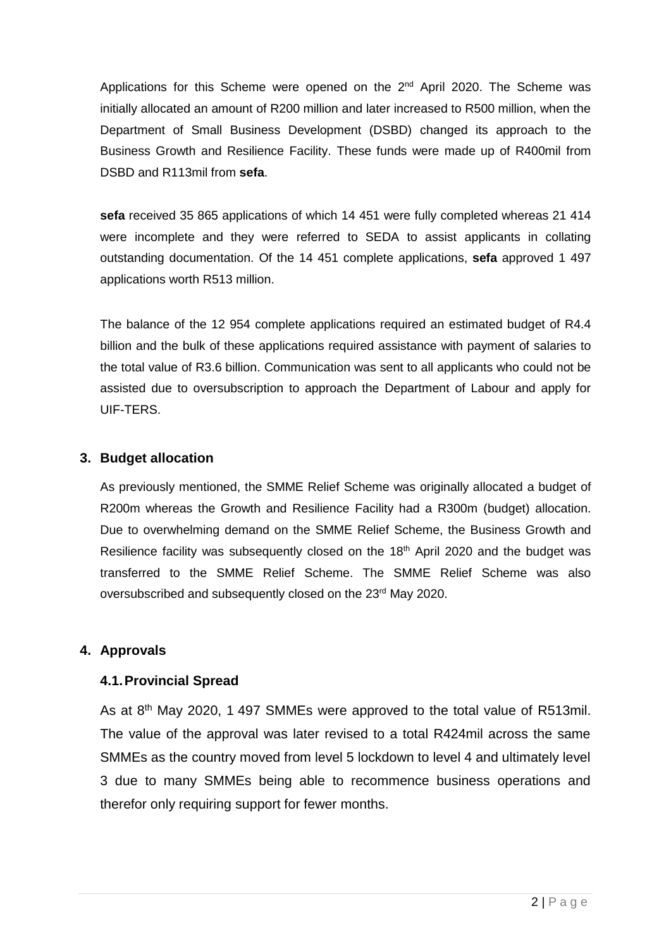Applications for this Scheme were opened on the 2<sup>nd</sup> April 2020. The Scheme was initially allocated an amount of R200 million and later increased to R500 million, when the Department of Small Business Development (DSBD) changed its approach to the Business Growth and Resilience Facility. These funds were made up of R400mil from DSBD and R113mil from **sefa**.

**sefa** received 35 865 applications of which 14 451 were fully completed whereas 21 414 were incomplete and they were referred to SEDA to assist applicants in collating outstanding documentation. Of the 14 451 complete applications, **sefa** approved 1 497 applications worth R513 million.

The balance of the 12 954 complete applications required an estimated budget of R4.4 billion and the bulk of these applications required assistance with payment of salaries to the total value of R3.6 billion. Communication was sent to all applicants who could not be assisted due to oversubscription to approach the Department of Labour and apply for UIF-TERS.

## **3. Budget allocation**

As previously mentioned, the SMME Relief Scheme was originally allocated a budget of R200m whereas the Growth and Resilience Facility had a R300m (budget) allocation. Due to overwhelming demand on the SMME Relief Scheme, the Business Growth and Resilience facility was subsequently closed on the 18<sup>th</sup> April 2020 and the budget was transferred to the SMME Relief Scheme. The SMME Relief Scheme was also oversubscribed and subsequently closed on the 23rd May 2020.

# **4. Approvals**

# **4.1.Provincial Spread**

As at 8<sup>th</sup> May 2020, 1 497 SMMEs were approved to the total value of R513mil. The value of the approval was later revised to a total R424mil across the same SMMEs as the country moved from level 5 lockdown to level 4 and ultimately level 3 due to many SMMEs being able to recommence business operations and therefor only requiring support for fewer months.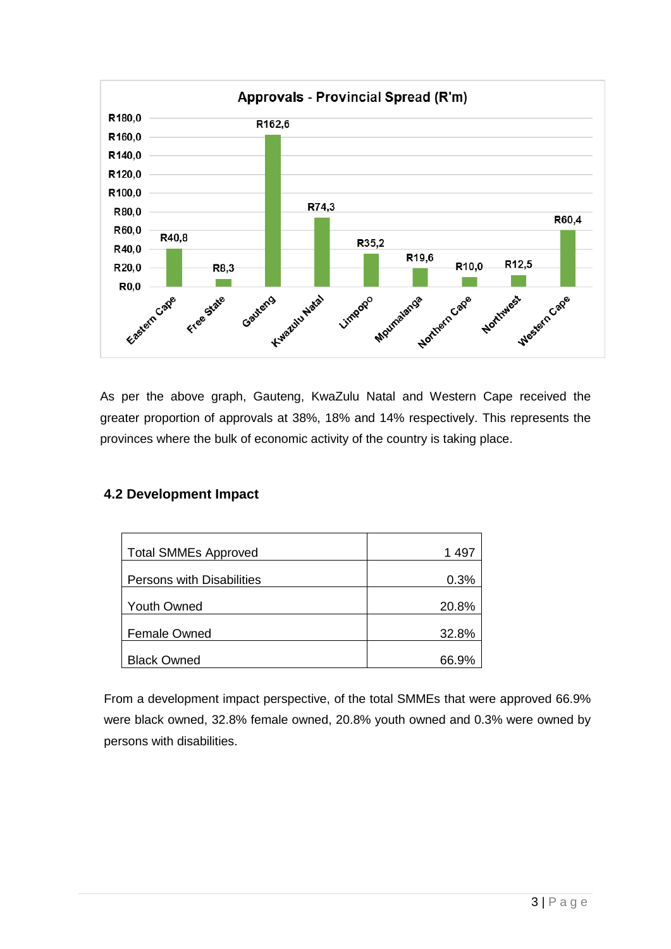

As per the above graph, Gauteng, KwaZulu Natal and Western Cape received the greater proportion of approvals at 38%, 18% and 14% respectively. This represents the provinces where the bulk of economic activity of the country is taking place.

# **4.2 Development Impact**

| <b>Total SMMEs Approved</b>      | 1 497 |
|----------------------------------|-------|
| <b>Persons with Disabilities</b> | 0.3%  |
| <b>Youth Owned</b>               | 20.8% |
| <b>Female Owned</b>              | 32.8% |
| <b>Black Owned</b>               | 66.9% |

From a development impact perspective, of the total SMMEs that were approved 66.9% were black owned, 32.8% female owned, 20.8% youth owned and 0.3% were owned by persons with disabilities.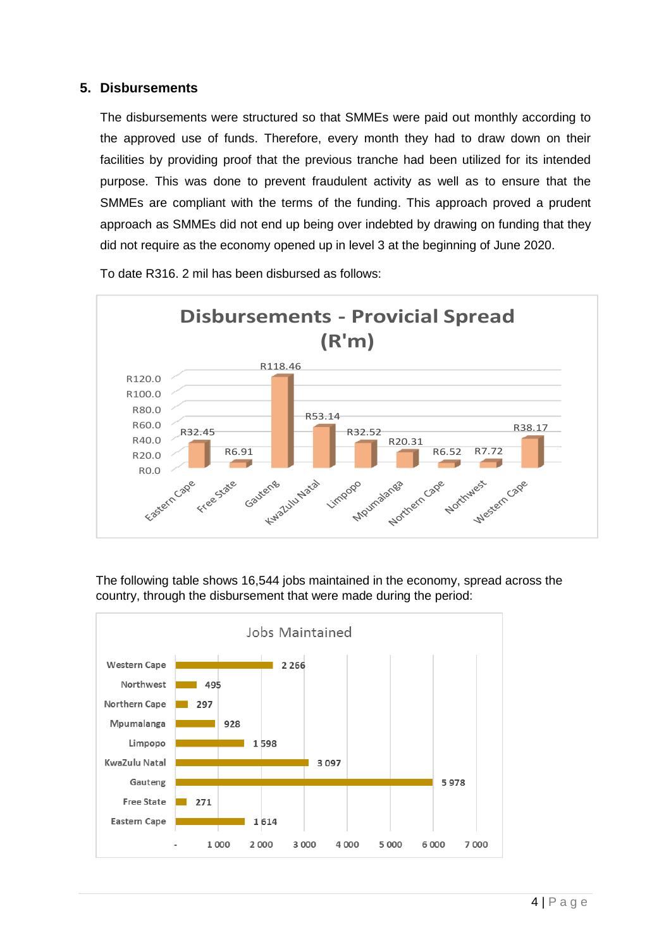#### **5. Disbursements**

The disbursements were structured so that SMMEs were paid out monthly according to the approved use of funds. Therefore, every month they had to draw down on their facilities by providing proof that the previous tranche had been utilized for its intended purpose. This was done to prevent fraudulent activity as well as to ensure that the SMMEs are compliant with the terms of the funding. This approach proved a prudent approach as SMMEs did not end up being over indebted by drawing on funding that they did not require as the economy opened up in level 3 at the beginning of June 2020.



To date R316. 2 mil has been disbursed as follows:

The following table shows 16,544 jobs maintained in the economy, spread across the country, through the disbursement that were made during the period:

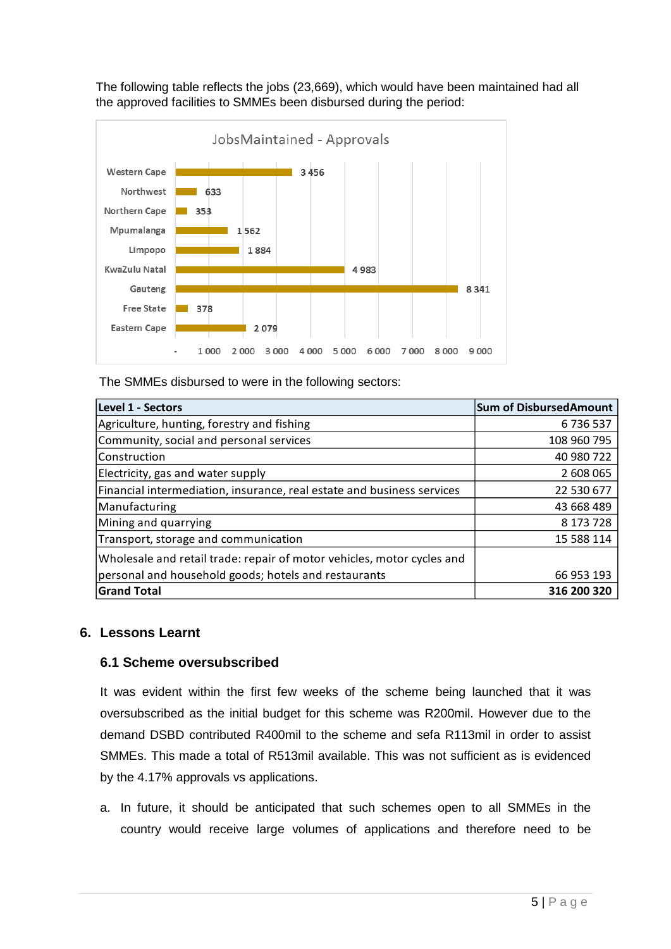The following table reflects the jobs (23,669), which would have been maintained had all the approved facilities to SMMEs been disbursed during the period:



The SMMEs disbursed to were in the following sectors:

| Level 1 - Sectors                                                      | <b>Sum of DisbursedAmount</b> |
|------------------------------------------------------------------------|-------------------------------|
| Agriculture, hunting, forestry and fishing                             | 6736537                       |
| Community, social and personal services                                | 108 960 795                   |
| Construction                                                           | 40 980 722                    |
| Electricity, gas and water supply                                      | 2 608 065                     |
| Financial intermediation, insurance, real estate and business services | 22 530 677                    |
| Manufacturing                                                          | 43 668 489                    |
| Mining and quarrying                                                   | 8 173 728                     |
| Transport, storage and communication                                   | 15 588 114                    |
| Wholesale and retail trade: repair of motor vehicles, motor cycles and |                               |
| personal and household goods; hotels and restaurants                   | 66 953 193                    |
| <b>Grand Total</b>                                                     | 316 200 320                   |

# **6. Lessons Learnt**

#### **6.1 Scheme oversubscribed**

It was evident within the first few weeks of the scheme being launched that it was oversubscribed as the initial budget for this scheme was R200mil. However due to the demand DSBD contributed R400mil to the scheme and sefa R113mil in order to assist SMMEs. This made a total of R513mil available. This was not sufficient as is evidenced by the 4.17% approvals vs applications.

a. In future, it should be anticipated that such schemes open to all SMMEs in the country would receive large volumes of applications and therefore need to be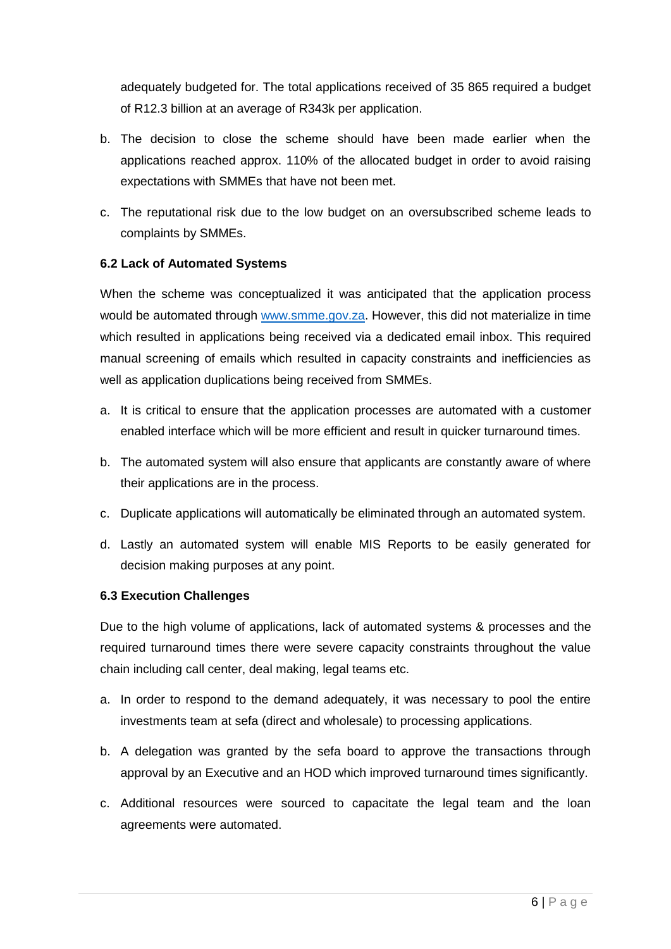adequately budgeted for. The total applications received of 35 865 required a budget of R12.3 billion at an average of R343k per application.

- b. The decision to close the scheme should have been made earlier when the applications reached approx. 110% of the allocated budget in order to avoid raising expectations with SMMEs that have not been met.
- c. The reputational risk due to the low budget on an oversubscribed scheme leads to complaints by SMMEs.

#### **6.2 Lack of Automated Systems**

When the scheme was conceptualized it was anticipated that the application process would be automated through [www.smme.gov.za.](http://www.smme.gov.za/) However, this did not materialize in time which resulted in applications being received via a dedicated email inbox. This required manual screening of emails which resulted in capacity constraints and inefficiencies as well as application duplications being received from SMMEs.

- a. It is critical to ensure that the application processes are automated with a customer enabled interface which will be more efficient and result in quicker turnaround times.
- b. The automated system will also ensure that applicants are constantly aware of where their applications are in the process.
- c. Duplicate applications will automatically be eliminated through an automated system.
- d. Lastly an automated system will enable MIS Reports to be easily generated for decision making purposes at any point.

#### **6.3 Execution Challenges**

Due to the high volume of applications, lack of automated systems & processes and the required turnaround times there were severe capacity constraints throughout the value chain including call center, deal making, legal teams etc.

- a. In order to respond to the demand adequately, it was necessary to pool the entire investments team at sefa (direct and wholesale) to processing applications.
- b. A delegation was granted by the sefa board to approve the transactions through approval by an Executive and an HOD which improved turnaround times significantly.
- c. Additional resources were sourced to capacitate the legal team and the loan agreements were automated.